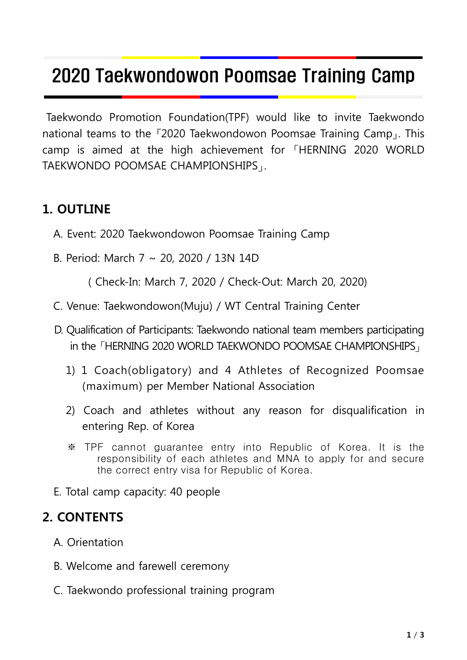# 2020 Taekwondowon Poomsae Training Camp

Taekwondo Promotion Foundation(TPF) would like to invite Taekwondo national teams to the 『2020 Taekwondowon Poomsae Training Camp』. This camp is aimed at the high achievement for 「HERNING 2020 WORLD TAEKWONDO POOMSAE CHAMPIONSHIPS」.

#### **1. OUTLINE**

- A. Event: 2020 Taekwondowon Poomsae Training Camp
- B. Period: March 7 ~ 20, 2020 / 13N 14D

( Check-In: March 7, 2020 / Check-Out: March 20, 2020)

- C. Venue: Taekwondowon(Muju) / WT Central Training Center
- D. Qualification of Participants: Taekwondo national team members participating in the 「HERNING 2020 WORLD TAEKWONDO POOMSAE CHAMPIONSHIPS」
	- 1) 1 Coach(obligatory) and 4 Athletes of Recognized Poomsae (maximum) per Member National Association
	- 2) Coach and athletes without any reason for disqualification in entering Rep. of Korea
	- ※ TPF cannot guarantee entry into Republic of Korea. It is the responsibility of each athletes and MNA to apply for and secure the correct entry visa for Republic of Korea.
- E. Total camp capacity: 40 people

#### **2. CONTENTS**

- A. Orientation
- B. Welcome and farewell ceremony
- C. Taekwondo professional training program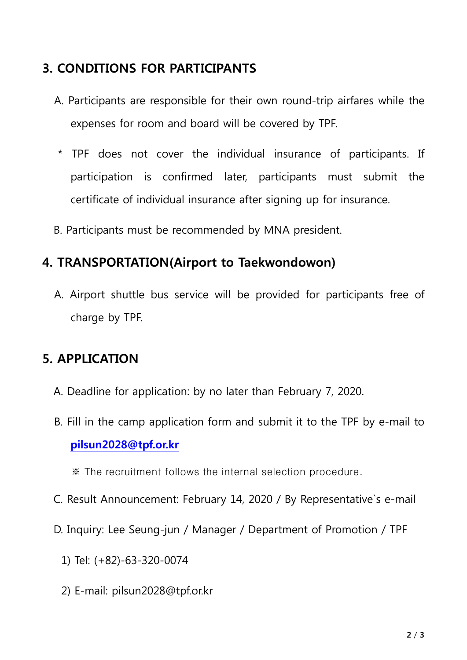## **3. CONDITIONS FOR PARTICIPANTS**

- A. Participants are responsible for their own round-trip airfares while the expenses for room and board will be covered by TPF.
- \* TPF does not cover the individual insurance of participants. If participation is confirmed later, participants must submit the certificate of individual insurance after signing up for insurance.
- B. Participants must be recommended by MNA president.

### **4. TRANSPORTATION(Airport to Taekwondowon)**

A. Airport shuttle bus service will be provided for participants free of charge by TPF.

### **5. APPLICATION**

- A. Deadline for application: by no later than February 7, 2020.
- B. Fill in the camp application form and submit it to the TPF by e-mail to **pilsun2028@tpf.or.kr**

※ The recruitment follows the internal selection procedure.

- C. Result Announcement: February 14, 2020 / By Representative`s e-mail
- D. Inquiry: Lee Seung-jun / Manager / Department of Promotion / TPF
	- 1) Tel: (+82)-63-320-0074
	- 2) E-mail: pilsun2028@tpf.or.kr